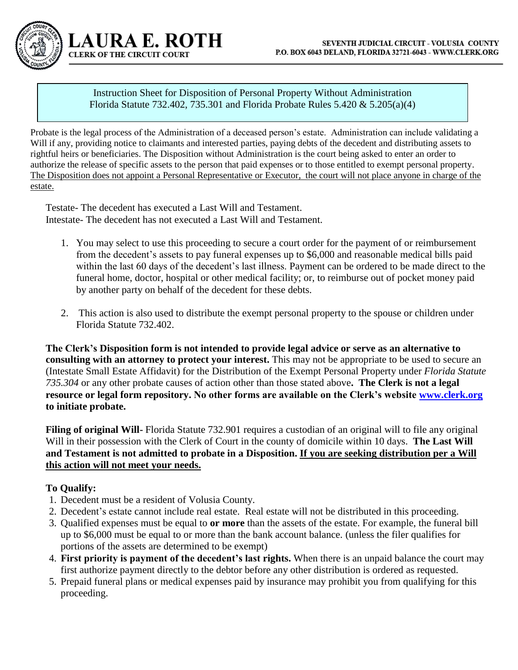Instruction Sheet for Disposition of Personal Property Without Administration Florida Statute 732.402, 735.301 and Florida Probate Rules 5.420 & 5.205(a)(4)

Probate is the legal process of the Administration of a deceased person's estate. Administration can include validating a Will if any, providing notice to claimants and interested parties, paying debts of the decedent and distributing assets to rightful heirs or beneficiaries. The Disposition without Administration is the court being asked to enter an order to authorize the release of specific assets to the person that paid expenses or to those entitled to exempt personal property. The Disposition does not appoint a Personal Representative or Executor, the court will not place anyone in charge of the estate.

Testate- The decedent has executed a Last Will and Testament. Intestate- The decedent has not executed a Last Will and Testament.

**AURA E. ROTH** 

**CLERK OF THE CIRCUIT COURT** 

- 1. You may select to use this proceeding to secure a court order for the payment of or reimbursement from the decedent's assets to pay funeral expenses up to \$6,000 and reasonable medical bills paid within the last 60 days of the decedent's last illness. Payment can be ordered to be made direct to the funeral home, doctor, hospital or other medical facility; or, to reimburse out of pocket money paid by another party on behalf of the decedent for these debts.
- 2. This action is also used to distribute the exempt personal property to the spouse or children under Florida Statute 732.402.

**The Clerk's Disposition form is not intended to provide legal advice or serve as an alternative to consulting with an attorney to protect your interest.** This may not be appropriate to be used to secure an (Intestate Small Estate Affidavit) for the Distribution of the Exempt Personal Property under *Florida Statute 735.304* or any other probate causes of action other than those stated above**. The Clerk is not a legal resource or legal form repository. No other forms are available on the Clerk's website [www.clerk.org](http://www.clerk.org/) to initiate probate.** 

**Filing of original Will-** Florida Statute 732.901 requires a custodian of an original will to file any original Will in their possession with the Clerk of Court in the county of domicile within 10 days. **The Last Will and Testament is not admitted to probate in a Disposition. If you are seeking distribution per a Will this action will not meet your needs.** 

## **To Qualify:**

- 1. Decedent must be a resident of Volusia County.
- 2. Decedent's estate cannot include real estate. Real estate will not be distributed in this proceeding.
- 3. Qualified expenses must be equal to **or more** than the assets of the estate. For example, the funeral bill up to \$6,000 must be equal to or more than the bank account balance. (unless the filer qualifies for portions of the assets are determined to be exempt)
- 4. **First priority is payment of the decedent's last rights.** When there is an unpaid balance the court may first authorize payment directly to the debtor before any other distribution is ordered as requested.
- 5. Prepaid funeral plans or medical expenses paid by insurance may prohibit you from qualifying for this proceeding.